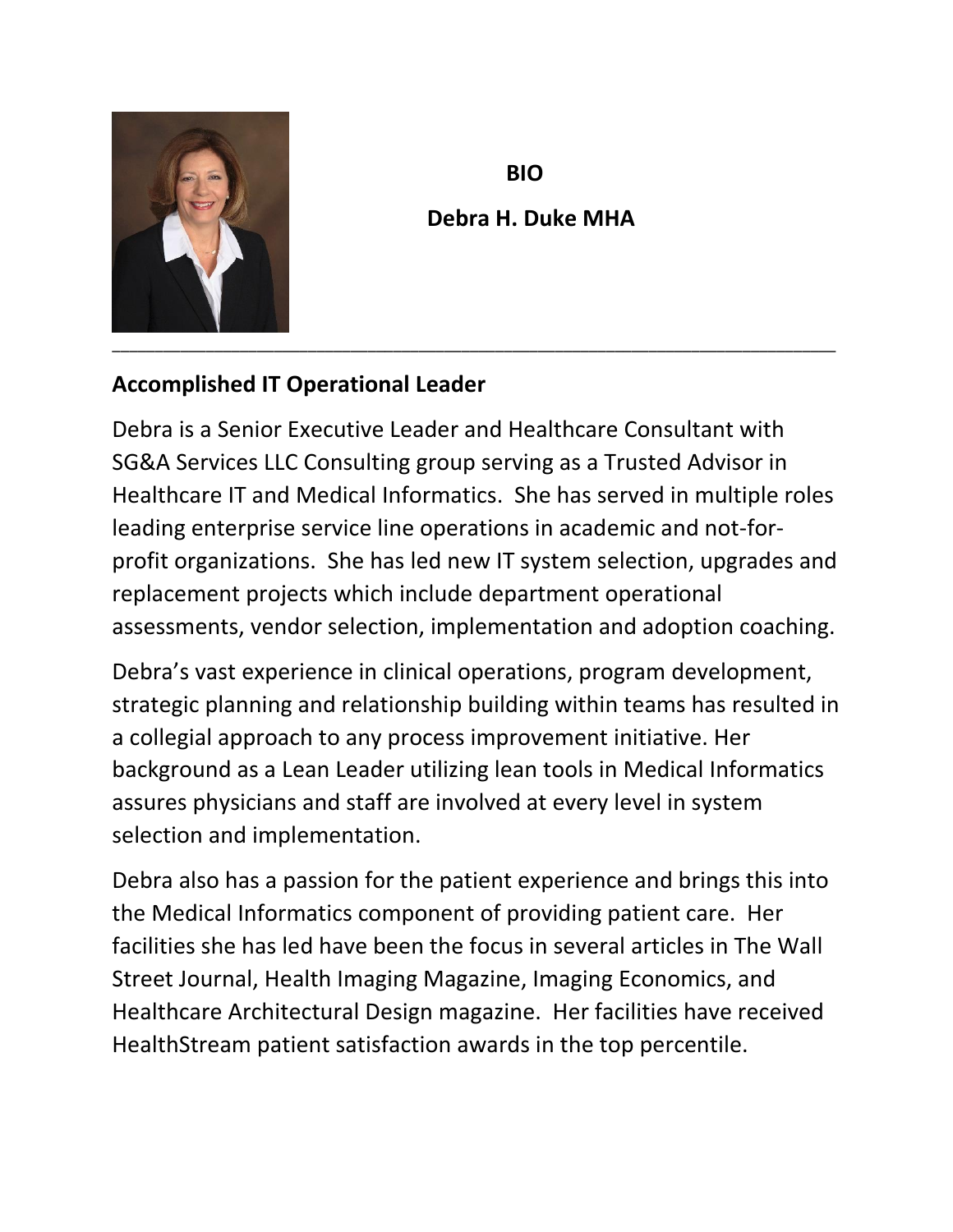

## **BIO Debra H. Duke MHA**

## **Accomplished IT Operational Leader**

Debra is a Senior Executive Leader and Healthcare Consultant with SG&A Services LLC Consulting group serving as a Trusted Advisor in Healthcare IT and Medical Informatics. She has served in multiple roles leading enterprise service line operations in academic and not-forprofit organizations. She has led new IT system selection, upgrades and replacement projects which include department operational assessments, vendor selection, implementation and adoption coaching.

Debra's vast experience in clinical operations, program development, strategic planning and relationship building within teams has resulted in a collegial approach to any process improvement initiative. Her background as a Lean Leader utilizing lean tools in Medical Informatics assures physicians and staff are involved at every level in system selection and implementation.

Debra also has a passion for the patient experience and brings this into the Medical Informatics component of providing patient care. Her facilities she has led have been the focus in several articles in The Wall Street Journal, Health Imaging Magazine, Imaging Economics, and Healthcare Architectural Design magazine. Her facilities have received HealthStream patient satisfaction awards in the top percentile.